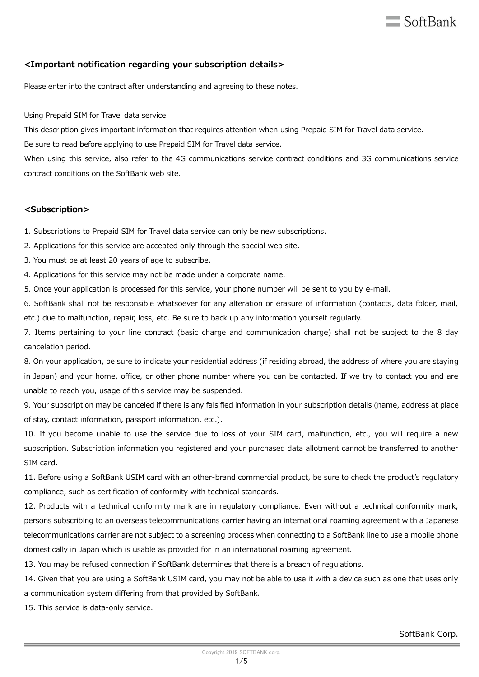# $\equiv$  SoftBank

# **<Important notification regarding your subscription details>**

Please enter into the contract after understanding and agreeing to these notes.

Using Prepaid SIM for Travel data service.

This description gives important information that requires attention when using Prepaid SIM for Travel data service.

Be sure to read before applying to use Prepaid SIM for Travel data service.

When using this service, also refer to the 4G communications service contract conditions and 3G communications service contract conditions on the SoftBank web site.

# **<Subscription>**

1. Subscriptions to Prepaid SIM for Travel data service can only be new subscriptions.

2. Applications for this service are accepted only through the special web site.

3. You must be at least 20 years of age to subscribe.

4. Applications for this service may not be made under a corporate name.

5. Once your application is processed for this service, your phone number will be sent to you by e-mail.

6. SoftBank shall not be responsible whatsoever for any alteration or erasure of information (contacts, data folder, mail, etc.) due to malfunction, repair, loss, etc. Be sure to back up any information yourself regularly.

7. Items pertaining to your line contract (basic charge and communication charge) shall not be subject to the 8 day cancelation period.

8. On your application, be sure to indicate your residential address (if residing abroad, the address of where you are staying in Japan) and your home, office, or other phone number where you can be contacted. If we try to contact you and are unable to reach you, usage of this service may be suspended.

9. Your subscription may be canceled if there is any falsified information in your subscription details (name, address at place of stay, contact information, passport information, etc.).

10. If you become unable to use the service due to loss of your SIM card, malfunction, etc., you will require a new subscription. Subscription information you registered and your purchased data allotment cannot be transferred to another SIM card.

11. Before using a SoftBank USIM card with an other-brand commercial product, be sure to check the product's regulatory compliance, such as certification of conformity with technical standards.

12. Products with a technical conformity mark are in regulatory compliance. Even without a technical conformity mark, persons subscribing to an overseas telecommunications carrier having an international roaming agreement with a Japanese telecommunications carrier are not subject to a screening process when connecting to a SoftBank line to use a mobile phone domestically in Japan which is usable as provided for in an international roaming agreement.

13. You may be refused connection if SoftBank determines that there is a breach of regulations.

14. Given that you are using a SoftBank USIM card, you may not be able to use it with a device such as one that uses only a communication system differing from that provided by SoftBank.

15. This service is data-only service.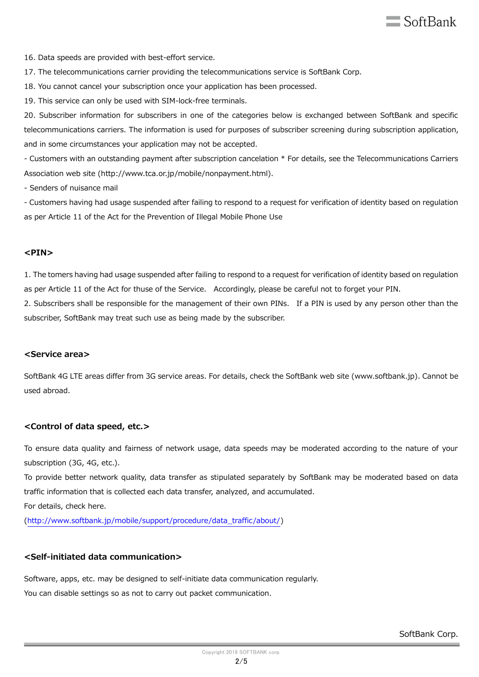

16. Data speeds are provided with best-effort service.

17. The telecommunications carrier providing the telecommunications service is SoftBank Corp.

18. You cannot cancel your subscription once your application has been processed.

19. This service can only be used with SIM-lock-free terminals.

20. Subscriber information for subscribers in one of the categories below is exchanged between SoftBank and specific telecommunications carriers. The information is used for purposes of subscriber screening during subscription application, and in some circumstances your application may not be accepted.

- Customers with an outstanding payment after subscription cancelation \* For details, see the Telecommunications Carriers Association web site (http://www.tca.or.jp/mobile/nonpayment.html).

- Senders of nuisance mail

- Customers having had usage suspended after failing to respond to a request for verification of identity based on regulation as per Article 11 of the Act for the Prevention of Illegal Mobile Phone Use

#### **<PIN>**

1. The tomers having had usage suspended after failing to respond to a request for verification of identity based on regulation as per Article 11 of the Act for thuse of the Service. Accordingly, please be careful not to forget your PIN.

2. Subscribers shall be responsible for the management of their own PINs. If a PIN is used by any person other than the subscriber, SoftBank may treat such use as being made by the subscriber.

#### **<Service area>**

SoftBank 4G LTE areas differ from 3G service areas. For details, check the SoftBank web site (www.softbank.jp). Cannot be used abroad.

## **<Control of data speed, etc.>**

To ensure data quality and fairness of network usage, data speeds may be moderated according to the nature of your subscription (3G, 4G, etc.).

To provide better network quality, data transfer as stipulated separately by SoftBank may be moderated based on data traffic information that is collected each data transfer, analyzed, and accumulated.

For details, check here.

[\(http://www.softbank.jp/mobile/support/procedure/data\\_traffic/about/\)](http://www.softbank.jp/mobile/support/procedure/data_traffic/about/)

# **<Self-initiated data communication>**

Software, apps, etc. may be designed to self-initiate data communication regularly. You can disable settings so as not to carry out packet communication.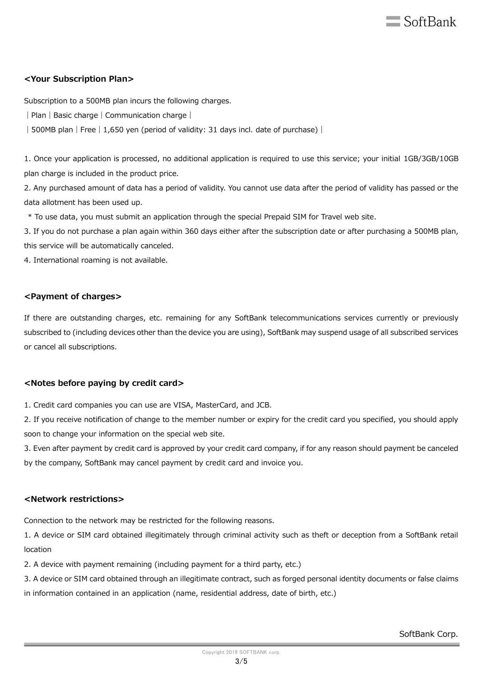

# **<Your Subscription Plan>**

Subscription to a 500MB plan incurs the following charges.

| Plan | Basic charge | Communication charge |

| 500MB plan | Free | 1,650 yen (period of validity: 31 days incl. date of purchase) |

1. Once your application is processed, no additional application is required to use this service; your initial 1GB/3GB/10GB plan charge is included in the product price.

2. Any purchased amount of data has a period of validity. You cannot use data after the period of validity has passed or the data allotment has been used up.

\* To use data, you must submit an application through the special Prepaid SIM for Travel web site.

3. If you do not purchase a plan again within 360 days either after the subscription date or after purchasing a 500MB plan, this service will be automatically canceled.

4. International roaming is not available.

# **<Payment of charges>**

If there are outstanding charges, etc. remaining for any SoftBank telecommunications services currently or previously subscribed to (including devices other than the device you are using), SoftBank may suspend usage of all subscribed services or cancel all subscriptions.

# **<Notes before paying by credit card>**

1. Credit card companies you can use are VISA, MasterCard, and JCB.

2. If you receive notification of change to the member number or expiry for the credit card you specified, you should apply soon to change your information on the special web site.

3. Even after payment by credit card is approved by your credit card company, if for any reason should payment be canceled by the company, SoftBank may cancel payment by credit card and invoice you.

# **<Network restrictions>**

Connection to the network may be restricted for the following reasons.

1. A device or SIM card obtained illegitimately through criminal activity such as theft or deception from a SoftBank retail location

2. A device with payment remaining (including payment for a third party, etc.)

3. A device or SIM card obtained through an illegitimate contract, such as forged personal identity documents or false claims in information contained in an application (name, residential address, date of birth, etc.)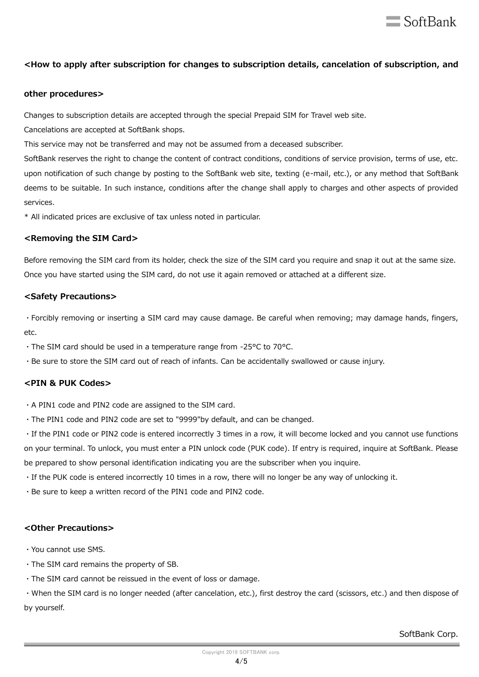

# **<How to apply after subscription for changes to subscription details, cancelation of subscription, and**

#### **other procedures>**

Changes to subscription details are accepted through the special Prepaid SIM for Travel web site.

Cancelations are accepted at SoftBank shops.

This service may not be transferred and may not be assumed from a deceased subscriber.

SoftBank reserves the right to change the content of contract conditions, conditions of service provision, terms of use, etc. upon notification of such change by posting to the SoftBank web site, texting (e-mail, etc.), or any method that SoftBank deems to be suitable. In such instance, conditions after the change shall apply to charges and other aspects of provided services.

\* All indicated prices are exclusive of tax unless noted in particular.

### **<Removing the SIM Card>**

Before removing the SIM card from its holder, check the size of the SIM card you require and snap it out at the same size. Once you have started using the SIM card, do not use it again removed or attached at a different size.

### **<Safety Precautions>**

・Forcibly removing or inserting a SIM card may cause damage. Be careful when removing; may damage hands, fingers, etc.

・The SIM card should be used in a temperature range from -25°C to 70°C.

・Be sure to store the SIM card out of reach of infants. Can be accidentally swallowed or cause injury.

# **<PIN & PUK Codes>**

・A PIN1 code and PIN2 code are assigned to the SIM card.

・The PIN1 code and PIN2 code are set to "9999"by default, and can be changed.

・If the PIN1 code or PIN2 code is entered incorrectly 3 times in a row, it will become locked and you cannot use functions on your terminal. To unlock, you must enter a PIN unlock code (PUK code). If entry is required, inquire at SoftBank. Please be prepared to show personal identification indicating you are the subscriber when you inquire.

・If the PUK code is entered incorrectly 10 times in a row, there will no longer be any way of unlocking it.

・Be sure to keep a written record of the PIN1 code and PIN2 code.

# **<Other Precautions>**

- ・You cannot use SMS.
- ・The SIM card remains the property of SB.
- ・The SIM card cannot be reissued in the event of loss or damage.

・When the SIM card is no longer needed (after cancelation, etc.), first destroy the card (scissors, etc.) and then dispose of by yourself.